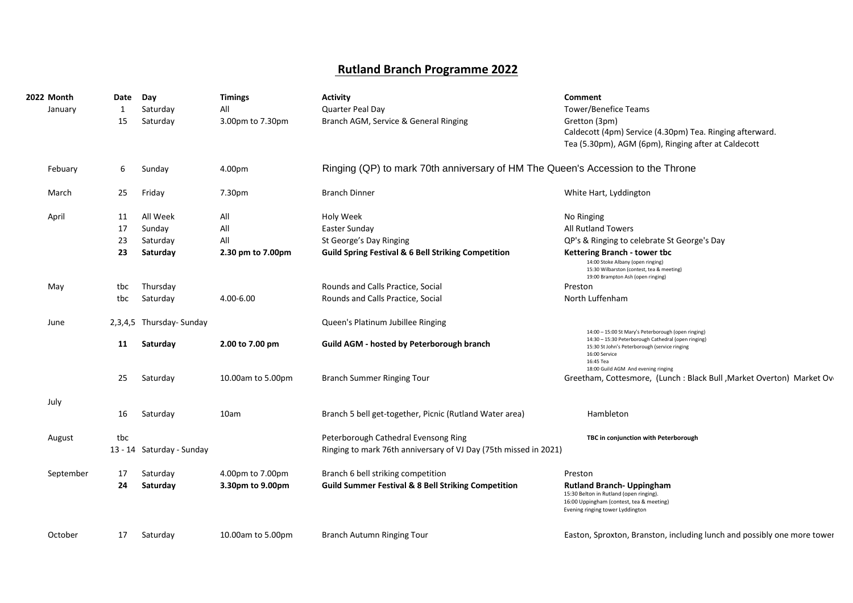## **Rutland Branch Programme 2022**

| <b>2022 Month</b><br>January | Date<br>1<br>15                    | Day<br>Saturday<br>Saturday                                        | <b>Timings</b><br>All<br>3.00pm to 7.30pm           | <b>Activity</b><br>Quarter Peal Day<br>Branch AGM, Service & General Ringing                                                                                                                      | Comment<br><b>Tower/Benefice Teams</b><br>Gretton (3pm)<br>Caldecott (4pm) Service (4.30pm) Tea. Ringing afterward.<br>Tea (5.30pm), AGM (6pm), Ringing after at Caldecott                                                                                                                              |
|------------------------------|------------------------------------|--------------------------------------------------------------------|-----------------------------------------------------|---------------------------------------------------------------------------------------------------------------------------------------------------------------------------------------------------|---------------------------------------------------------------------------------------------------------------------------------------------------------------------------------------------------------------------------------------------------------------------------------------------------------|
| Febuary                      | 6                                  | Sunday                                                             | 4.00pm                                              | Ringing (QP) to mark 70th anniversary of HM The Queen's Accession to the Throne                                                                                                                   |                                                                                                                                                                                                                                                                                                         |
| March                        | 25                                 | Friday                                                             | 7.30pm                                              | <b>Branch Dinner</b>                                                                                                                                                                              | White Hart, Lyddington                                                                                                                                                                                                                                                                                  |
| April<br>May                 | 11<br>17<br>23<br>23<br>tbc<br>tbc | All Week<br>Sunday<br>Saturday<br>Saturday<br>Thursday<br>Saturday | All<br>All<br>All<br>2.30 pm to 7.00pm<br>4.00-6.00 | Holy Week<br>Easter Sunday<br>St George's Day Ringing<br><b>Guild Spring Festival &amp; 6 Bell Striking Competition</b><br>Rounds and Calls Practice, Social<br>Rounds and Calls Practice, Social | No Ringing<br><b>All Rutland Towers</b><br>QP's & Ringing to celebrate St George's Day<br>Kettering Branch - tower tbc<br>14:00 Stoke Albany (open ringing)<br>15:30 Wilbarston (contest, tea & meeting)<br>19:00 Brampton Ash (open ringing)<br>Preston<br>North Luffenham                             |
| June                         | 11<br>25                           | 2,3,4,5 Thursday- Sunday<br>Saturday<br>Saturday                   | 2.00 to 7.00 pm<br>10.00am to 5.00pm                | Queen's Platinum Jubillee Ringing<br>Guild AGM - hosted by Peterborough branch<br><b>Branch Summer Ringing Tour</b>                                                                               | 14:00 - 15:00 St Mary's Peterborough (open ringing)<br>14:30 - 15:30 Peterborough Cathedral (open ringing)<br>15:30 St John's Peterborough (service ringing<br>16:00 Service<br>16:45 Tea<br>18:00 Guild AGM And evening ringing<br>Greetham, Cottesmore, (Lunch: Black Bull, Market Overton) Market Ov |
| July                         | 16                                 | Saturday                                                           | 10am                                                | Branch 5 bell get-together, Picnic (Rutland Water area)                                                                                                                                           | Hambleton                                                                                                                                                                                                                                                                                               |
| August                       | tbc                                | 13 - 14 Saturday - Sunday                                          |                                                     | Peterborough Cathedral Evensong Ring<br>Ringing to mark 76th anniversary of VJ Day (75th missed in 2021)                                                                                          | TBC in conjunction with Peterborough                                                                                                                                                                                                                                                                    |
| September                    | 17<br>24                           | Saturday<br>Saturday                                               | 4.00pm to 7.00pm<br>3.30pm to 9.00pm                | Branch 6 bell striking competition<br><b>Guild Summer Festival &amp; 8 Bell Striking Competition</b>                                                                                              | Preston<br><b>Rutland Branch- Uppingham</b><br>15:30 Belton in Rutland (open ringing).<br>16:00 Uppingham (contest, tea & meeting)<br>Evening ringing tower Lyddington                                                                                                                                  |
| October                      | 17                                 | Saturday                                                           | 10.00am to 5.00pm                                   | Branch Autumn Ringing Tour                                                                                                                                                                        | Easton, Sproxton, Branston, including lunch and possibly one more tower                                                                                                                                                                                                                                 |